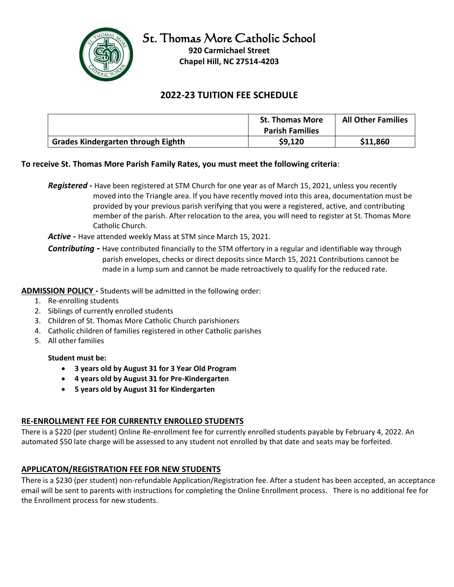

# **2022-23 TUITION FEE SCHEDULE**

|                                           | <b>St. Thomas More</b><br><b>Parish Families</b> | <b>All Other Families</b> |
|-------------------------------------------|--------------------------------------------------|---------------------------|
| <b>Grades Kindergarten through Eighth</b> | \$9,120                                          | \$11,860                  |

## **To receive St. Thomas More Parish Family Rates, you must meet the following criteria**:

*Registered* **-** Have been registered at STM Church for one year as of March 15, 2021, unless you recently moved into the Triangle area. If you have recently moved into this area, documentation must be provided by your previous parish verifying that you were a registered, active, and contributing member of the parish. After relocation to the area, you will need to register at St. Thomas More Catholic Church.

*Active* **-** Have attended weekly Mass at STM since March 15, 2021.

*Contributing -* Have contributed financially to the STM offertory in a regular and identifiable way through parish envelopes, checks or direct deposits since March 15, 2021 Contributions cannot be made in a lump sum and cannot be made retroactively to qualify for the reduced rate.

**ADMISSION POLICY -** Students will be admitted in the following order:

- 1. Re-enrolling students
- 2. Siblings of currently enrolled students
- 3. Children of St. Thomas More Catholic Church parishioners
- 4. Catholic children of families registered in other Catholic parishes
- 5. All other families

#### **Student must be:**

- **3 years old by August 31 for 3 Year Old Program**
- **4 years old by August 31 for Pre-Kindergarten**
- **5 years old by August 31 for Kindergarten**

## **RE-ENROLLMENT FEE FOR CURRENTLY ENROLLED STUDENTS**

There is a \$220 (per student) Online Re-enrollment fee for currently enrolled students payable by February 4, 2022. An automated \$50 late charge will be assessed to any student not enrolled by that date and seats may be forfeited.

## **APPLICATON/REGISTRATION FEE FOR NEW STUDENTS**

There is a \$230 (per student) non-refundable Application/Registration fee. After a student has been accepted, an acceptance email will be sent to parents with instructions for completing the Online Enrollment process. There is no additional fee for the Enrollment process for new students.